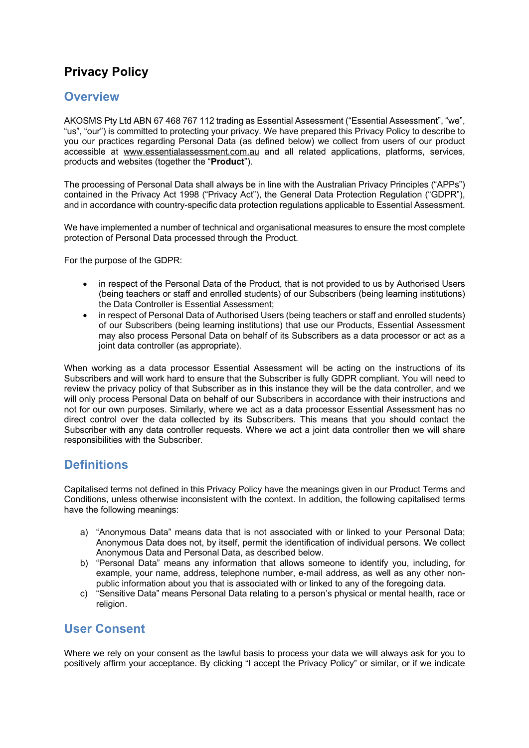# **Privacy Policy**

## **Overview**

AKOSMS Pty Ltd ABN 67 468 767 112 trading as Essential Assessment ("Essential Assessment", "we", "us", "our") is committed to protecting your privacy. We have prepared this Privacy Policy to describe to you our practices regarding Personal Data (as defined below) we collect from users of our product accessible at www.essentialassessment.com.au and all related applications, platforms, services, products and websites (together the "**Product**").

The processing of Personal Data shall always be in line with the Australian Privacy Principles ("APPs") contained in the Privacy Act 1998 ("Privacy Act"), the General Data Protection Regulation ("GDPR"), and in accordance with country-specific data protection regulations applicable to Essential Assessment.

We have implemented a number of technical and organisational measures to ensure the most complete protection of Personal Data processed through the Product.

For the purpose of the GDPR:

- in respect of the Personal Data of the Product, that is not provided to us by Authorised Users (being teachers or staff and enrolled students) of our Subscribers (being learning institutions) the Data Controller is Essential Assessment;
- in respect of Personal Data of Authorised Users (being teachers or staff and enrolled students) of our Subscribers (being learning institutions) that use our Products, Essential Assessment may also process Personal Data on behalf of its Subscribers as a data processor or act as a joint data controller (as appropriate).

When working as a data processor Essential Assessment will be acting on the instructions of its Subscribers and will work hard to ensure that the Subscriber is fully GDPR compliant. You will need to review the privacy policy of that Subscriber as in this instance they will be the data controller, and we will only process Personal Data on behalf of our Subscribers in accordance with their instructions and not for our own purposes. Similarly, where we act as a data processor Essential Assessment has no direct control over the data collected by its Subscribers. This means that you should contact the Subscriber with any data controller requests. Where we act a joint data controller then we will share responsibilities with the Subscriber.

## **Definitions**

Capitalised terms not defined in this Privacy Policy have the meanings given in our Product Terms and Conditions, unless otherwise inconsistent with the context. In addition, the following capitalised terms have the following meanings:

- a) "Anonymous Data" means data that is not associated with or linked to your Personal Data; Anonymous Data does not, by itself, permit the identification of individual persons. We collect Anonymous Data and Personal Data, as described below.
- b) "Personal Data" means any information that allows someone to identify you, including, for example, your name, address, telephone number, e-mail address, as well as any other nonpublic information about you that is associated with or linked to any of the foregoing data.
- c) "Sensitive Data" means Personal Data relating to a person's physical or mental health, race or religion.

## **User Consent**

Where we rely on your consent as the lawful basis to process your data we will always ask for you to positively affirm your acceptance. By clicking "I accept the Privacy Policy" or similar, or if we indicate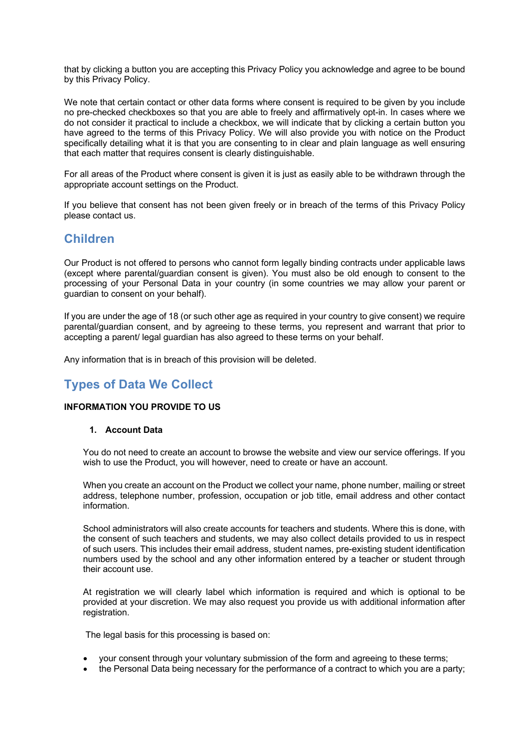that by clicking a button you are accepting this Privacy Policy you acknowledge and agree to be bound by this Privacy Policy.

We note that certain contact or other data forms where consent is required to be given by you include no pre-checked checkboxes so that you are able to freely and affirmatively opt-in. In cases where we do not consider it practical to include a checkbox, we will indicate that by clicking a certain button you have agreed to the terms of this Privacy Policy. We will also provide you with notice on the Product specifically detailing what it is that you are consenting to in clear and plain language as well ensuring that each matter that requires consent is clearly distinguishable.

For all areas of the Product where consent is given it is just as easily able to be withdrawn through the appropriate account settings on the Product.

If you believe that consent has not been given freely or in breach of the terms of this Privacy Policy please contact us.

## **Children**

Our Product is not offered to persons who cannot form legally binding contracts under applicable laws (except where parental/guardian consent is given). You must also be old enough to consent to the processing of your Personal Data in your country (in some countries we may allow your parent or guardian to consent on your behalf).

If you are under the age of 18 (or such other age as required in your country to give consent) we require parental/guardian consent, and by agreeing to these terms, you represent and warrant that prior to accepting a parent/ legal guardian has also agreed to these terms on your behalf.

Any information that is in breach of this provision will be deleted.

## **Types of Data We Collect**

### **INFORMATION YOU PROVIDE TO US**

#### **1. Account Data**

You do not need to create an account to browse the website and view our service offerings. If you wish to use the Product, you will however, need to create or have an account.

When you create an account on the Product we collect your name, phone number, mailing or street address, telephone number, profession, occupation or job title, email address and other contact information.

School administrators will also create accounts for teachers and students. Where this is done, with the consent of such teachers and students, we may also collect details provided to us in respect of such users. This includes their email address, student names, pre-existing student identification numbers used by the school and any other information entered by a teacher or student through their account use.

At registration we will clearly label which information is required and which is optional to be provided at your discretion. We may also request you provide us with additional information after registration.

The legal basis for this processing is based on:

- your consent through your voluntary submission of the form and agreeing to these terms;
- the Personal Data being necessary for the performance of a contract to which you are a party;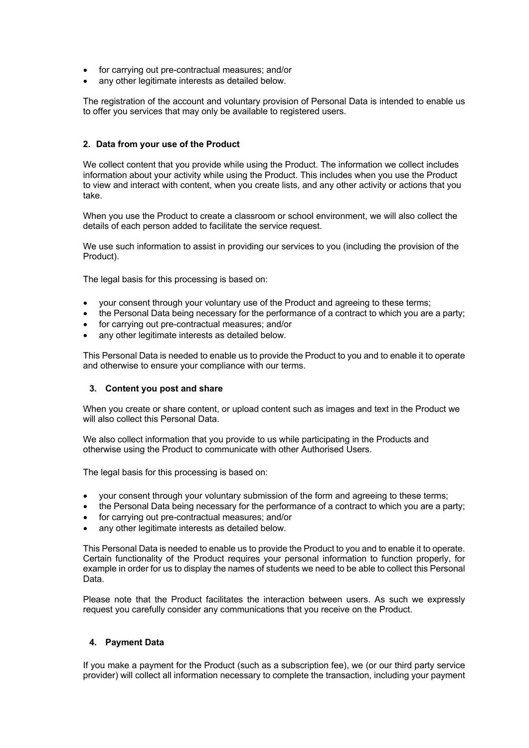- for carrying out pre-contractual measures; and/or
- any other legitimate interests as detailed below.

The registration of the account and voluntary provision of Personal Data is intended to enable us to offer you services that may only be available to registered users.

### **2. Data from your use of the Product**

We collect content that you provide while using the Product. The information we collect includes information about your activity while using the Product. This includes when you use the Product to view and interact with content, when you create lists, and any other activity or actions that you take.

When you use the Product to create a classroom or school environment, we will also collect the details of each person added to facilitate the service request.

We use such information to assist in providing our services to you (including the provision of the Product).

The legal basis for this processing is based on:

- your consent through your voluntary use of the Product and agreeing to these terms;
- the Personal Data being necessary for the performance of a contract to which you are a party;
- for carrying out pre-contractual measures; and/or
- any other legitimate interests as detailed below.

This Personal Data is needed to enable us to provide the Product to you and to enable it to operate and otherwise to ensure your compliance with our terms.

#### **3. Content you post and share**

When you create or share content, or upload content such as images and text in the Product we will also collect this Personal Data.

We also collect information that you provide to us while participating in the Products and otherwise using the Product to communicate with other Authorised Users.

The legal basis for this processing is based on:

- your consent through your voluntary submission of the form and agreeing to these terms;
- the Personal Data being necessary for the performance of a contract to which you are a party;
- for carrying out pre-contractual measures; and/or
- any other legitimate interests as detailed below.

This Personal Data is needed to enable us to provide the Product to you and to enable it to operate. Certain functionality of the Product requires your personal information to function properly, for example in order for us to display the names of students we need to be able to collect this Personal Data.

Please note that the Product facilitates the interaction between users. As such we expressly request you carefully consider any communications that you receive on the Product.

#### **4. Payment Data**

If you make a payment for the Product (such as a subscription fee), we (or our third party service provider) will collect all information necessary to complete the transaction, including your payment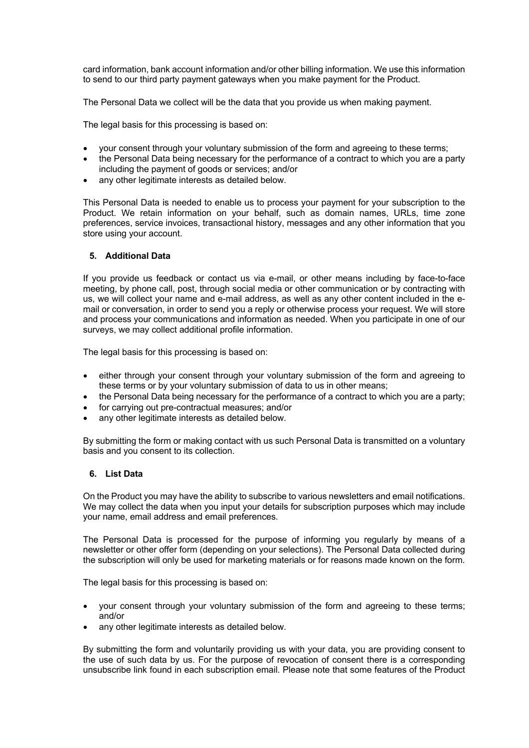card information, bank account information and/or other billing information. We use this information to send to our third party payment gateways when you make payment for the Product.

The Personal Data we collect will be the data that you provide us when making payment.

The legal basis for this processing is based on:

- your consent through your voluntary submission of the form and agreeing to these terms;
- the Personal Data being necessary for the performance of a contract to which you are a party including the payment of goods or services; and/or
- any other legitimate interests as detailed below.

This Personal Data is needed to enable us to process your payment for your subscription to the Product. We retain information on your behalf, such as domain names, URLs, time zone preferences, service invoices, transactional history, messages and any other information that you store using your account.

## **5. Additional Data**

If you provide us feedback or contact us via e-mail, or other means including by face-to-face meeting, by phone call, post, through social media or other communication or by contracting with us, we will collect your name and e-mail address, as well as any other content included in the email or conversation, in order to send you a reply or otherwise process your request. We will store and process your communications and information as needed. When you participate in one of our surveys, we may collect additional profile information.

The legal basis for this processing is based on:

- either through your consent through your voluntary submission of the form and agreeing to these terms or by your voluntary submission of data to us in other means;
- the Personal Data being necessary for the performance of a contract to which you are a party;
- for carrying out pre-contractual measures; and/or
- any other legitimate interests as detailed below.

By submitting the form or making contact with us such Personal Data is transmitted on a voluntary basis and you consent to its collection.

#### **6. List Data**

On the Product you may have the ability to subscribe to various newsletters and email notifications. We may collect the data when you input your details for subscription purposes which may include your name, email address and email preferences.

The Personal Data is processed for the purpose of informing you regularly by means of a newsletter or other offer form (depending on your selections). The Personal Data collected during the subscription will only be used for marketing materials or for reasons made known on the form.

The legal basis for this processing is based on:

- your consent through your voluntary submission of the form and agreeing to these terms; and/or
- any other legitimate interests as detailed below.

By submitting the form and voluntarily providing us with your data, you are providing consent to the use of such data by us. For the purpose of revocation of consent there is a corresponding unsubscribe link found in each subscription email. Please note that some features of the Product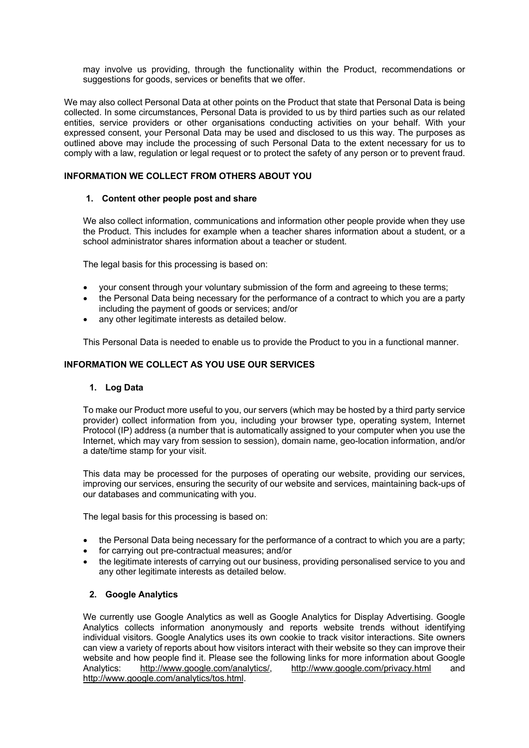may involve us providing, through the functionality within the Product, recommendations or suggestions for goods, services or benefits that we offer.

We may also collect Personal Data at other points on the Product that state that Personal Data is being collected. In some circumstances, Personal Data is provided to us by third parties such as our related entities, service providers or other organisations conducting activities on your behalf. With your expressed consent, your Personal Data may be used and disclosed to us this way. The purposes as outlined above may include the processing of such Personal Data to the extent necessary for us to comply with a law, regulation or legal request or to protect the safety of any person or to prevent fraud.

## **INFORMATION WE COLLECT FROM OTHERS ABOUT YOU**

## **1. Content other people post and share**

We also collect information, communications and information other people provide when they use the Product. This includes for example when a teacher shares information about a student, or a school administrator shares information about a teacher or student.

The legal basis for this processing is based on:

- your consent through your voluntary submission of the form and agreeing to these terms;
- the Personal Data being necessary for the performance of a contract to which you are a party including the payment of goods or services; and/or
- any other legitimate interests as detailed below.

This Personal Data is needed to enable us to provide the Product to you in a functional manner.

## **INFORMATION WE COLLECT AS YOU USE OUR SERVICES**

#### **1. Log Data**

To make our Product more useful to you, our servers (which may be hosted by a third party service provider) collect information from you, including your browser type, operating system, Internet Protocol (IP) address (a number that is automatically assigned to your computer when you use the Internet, which may vary from session to session), domain name, geo-location information, and/or a date/time stamp for your visit.

This data may be processed for the purposes of operating our website, providing our services, improving our services, ensuring the security of our website and services, maintaining back-ups of our databases and communicating with you.

The legal basis for this processing is based on:

- the Personal Data being necessary for the performance of a contract to which you are a party;
- for carrying out pre-contractual measures; and/or
- the legitimate interests of carrying out our business, providing personalised service to you and any other legitimate interests as detailed below.

## **2. Google Analytics**

We currently use Google Analytics as well as Google Analytics for Display Advertising. Google Analytics collects information anonymously and reports website trends without identifying individual visitors. Google Analytics uses its own cookie to track visitor interactions. Site owners can view a variety of reports about how visitors interact with their website so they can improve their website and how people find it. Please see the following links for more information about Google Analytics: http://www.google.com/analytics/, http://www.google.com/privacy.html and http://www.google.com/analytics/tos.html.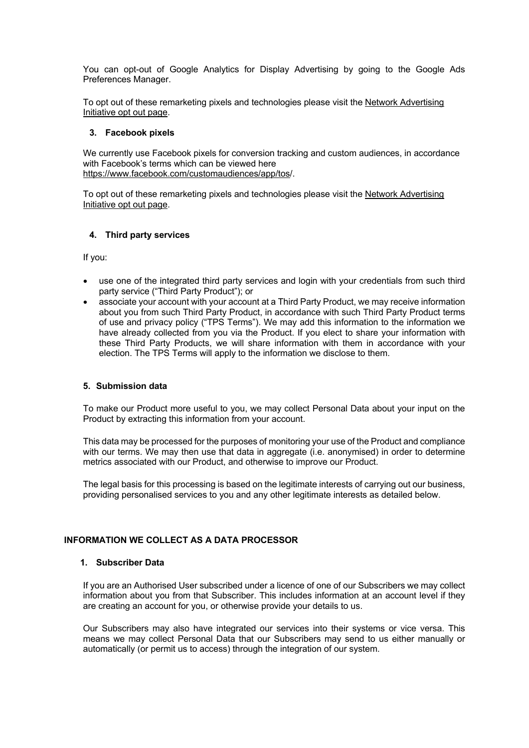You can opt-out of Google Analytics for Display Advertising by going to the Google Ads Preferences Manager.

To opt out of these remarketing pixels and technologies please visit the Network Advertising Initiative opt out page.

### **3. Facebook pixels**

We currently use Facebook pixels for conversion tracking and custom audiences, in accordance with Facebook's terms which can be viewed here https://www.facebook.com/customaudiences/app/tos/.

To opt out of these remarketing pixels and technologies please visit the Network Advertising Initiative opt out page.

### **4. Third party services**

If you:

- use one of the integrated third party services and login with your credentials from such third party service ("Third Party Product"); or
- associate your account with your account at a Third Party Product, we may receive information about you from such Third Party Product, in accordance with such Third Party Product terms of use and privacy policy ("TPS Terms"). We may add this information to the information we have already collected from you via the Product. If you elect to share your information with these Third Party Products, we will share information with them in accordance with your election. The TPS Terms will apply to the information we disclose to them.

#### **5. Submission data**

To make our Product more useful to you, we may collect Personal Data about your input on the Product by extracting this information from your account.

This data may be processed for the purposes of monitoring your use of the Product and compliance with our terms. We may then use that data in aggregate (i.e. anonymised) in order to determine metrics associated with our Product, and otherwise to improve our Product.

The legal basis for this processing is based on the legitimate interests of carrying out our business, providing personalised services to you and any other legitimate interests as detailed below.

## **INFORMATION WE COLLECT AS A DATA PROCESSOR**

### **1. Subscriber Data**

If you are an Authorised User subscribed under a licence of one of our Subscribers we may collect information about you from that Subscriber. This includes information at an account level if they are creating an account for you, or otherwise provide your details to us.

Our Subscribers may also have integrated our services into their systems or vice versa. This means we may collect Personal Data that our Subscribers may send to us either manually or automatically (or permit us to access) through the integration of our system.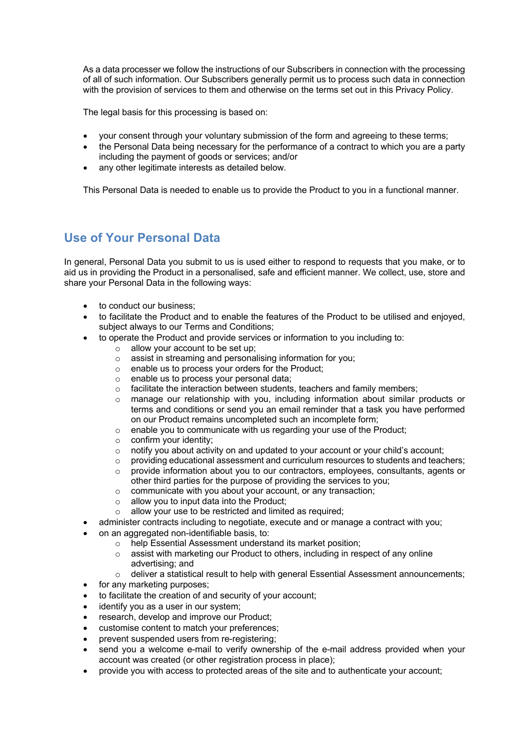As a data processer we follow the instructions of our Subscribers in connection with the processing of all of such information. Our Subscribers generally permit us to process such data in connection with the provision of services to them and otherwise on the terms set out in this Privacy Policy.

The legal basis for this processing is based on:

- your consent through your voluntary submission of the form and agreeing to these terms;
- the Personal Data being necessary for the performance of a contract to which you are a party including the payment of goods or services; and/or
- any other legitimate interests as detailed below.

This Personal Data is needed to enable us to provide the Product to you in a functional manner.

## **Use of Your Personal Data**

In general, Personal Data you submit to us is used either to respond to requests that you make, or to aid us in providing the Product in a personalised, safe and efficient manner. We collect, use, store and share your Personal Data in the following ways:

- to conduct our business;
- to facilitate the Product and to enable the features of the Product to be utilised and enjoyed, subject always to our Terms and Conditions;
- to operate the Product and provide services or information to you including to:
	- $\circ$  allow your account to be set up;
	- o assist in streaming and personalising information for you;
	- o enable us to process your orders for the Product;
	- o enable us to process your personal data;
	- o facilitate the interaction between students, teachers and family members;
	- $\circ$  manage our relationship with you, including information about similar products or terms and conditions or send you an email reminder that a task you have performed on our Product remains uncompleted such an incomplete form;
	- o enable you to communicate with us regarding your use of the Product;
	- o confirm your identity;
	- $\circ$  notify you about activity on and updated to your account or your child's account;
	- $\circ$  providing educational assessment and curriculum resources to students and teachers;
	- o provide information about you to our contractors, employees, consultants, agents or other third parties for the purpose of providing the services to you;
	- o communicate with you about your account, or any transaction;
	- $\circ$  allow you to input data into the Product;
	- $\circ$  allow your use to be restricted and limited as required;
- administer contracts including to negotiate, execute and or manage a contract with you;
- on an aggregated non-identifiable basis, to:
	- o help Essential Assessment understand its market position;
	- $\circ$  assist with marketing our Product to others, including in respect of any online advertising; and
	- $\circ$  deliver a statistical result to help with general Essential Assessment announcements;
- for any marketing purposes;
- to facilitate the creation of and security of your account;
- identify you as a user in our system;
- research, develop and improve our Product;
- customise content to match your preferences;
- prevent suspended users from re-registering;
- send you a welcome e-mail to verify ownership of the e-mail address provided when your account was created (or other registration process in place);
- provide you with access to protected areas of the site and to authenticate your account;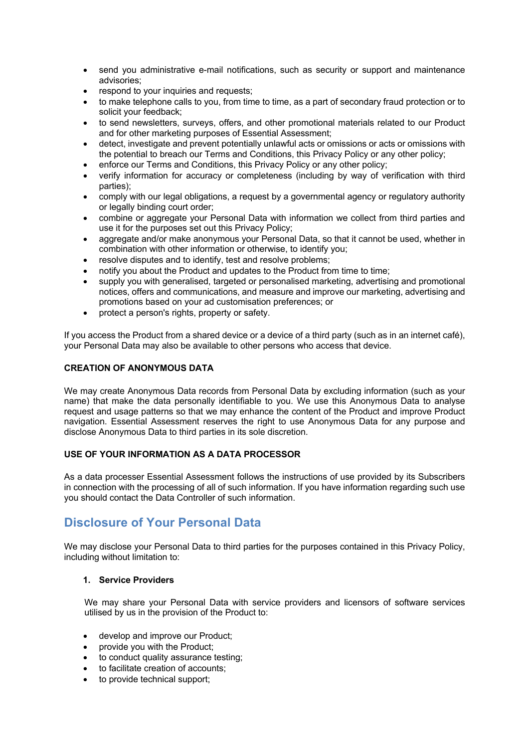- send you administrative e-mail notifications, such as security or support and maintenance advisories;
- respond to your inquiries and requests;
- to make telephone calls to you, from time to time, as a part of secondary fraud protection or to solicit your feedback;
- to send newsletters, surveys, offers, and other promotional materials related to our Product and for other marketing purposes of Essential Assessment;
- detect, investigate and prevent potentially unlawful acts or omissions or acts or omissions with the potential to breach our Terms and Conditions, this Privacy Policy or any other policy;
- enforce our Terms and Conditions, this Privacy Policy or any other policy:
- verify information for accuracy or completeness (including by way of verification with third parties);
- comply with our legal obligations, a request by a governmental agency or regulatory authority or legally binding court order;
- combine or aggregate your Personal Data with information we collect from third parties and use it for the purposes set out this Privacy Policy;
- aggregate and/or make anonymous your Personal Data, so that it cannot be used, whether in combination with other information or otherwise, to identify you;
- resolve disputes and to identify, test and resolve problems;
- notify you about the Product and updates to the Product from time to time;
- supply you with generalised, targeted or personalised marketing, advertising and promotional notices, offers and communications, and measure and improve our marketing, advertising and promotions based on your ad customisation preferences; or
- protect a person's rights, property or safety.

If you access the Product from a shared device or a device of a third party (such as in an internet café), your Personal Data may also be available to other persons who access that device.

### **CREATION OF ANONYMOUS DATA**

We may create Anonymous Data records from Personal Data by excluding information (such as your name) that make the data personally identifiable to you. We use this Anonymous Data to analyse request and usage patterns so that we may enhance the content of the Product and improve Product navigation. Essential Assessment reserves the right to use Anonymous Data for any purpose and disclose Anonymous Data to third parties in its sole discretion.

## **USE OF YOUR INFORMATION AS A DATA PROCESSOR**

As a data processer Essential Assessment follows the instructions of use provided by its Subscribers in connection with the processing of all of such information. If you have information regarding such use you should contact the Data Controller of such information.

## **Disclosure of Your Personal Data**

We may disclose your Personal Data to third parties for the purposes contained in this Privacy Policy, including without limitation to:

## **1. Service Providers**

We may share your Personal Data with service providers and licensors of software services utilised by us in the provision of the Product to:

- develop and improve our Product;
- provide you with the Product;
- to conduct quality assurance testing;
- to facilitate creation of accounts:
- to provide technical support: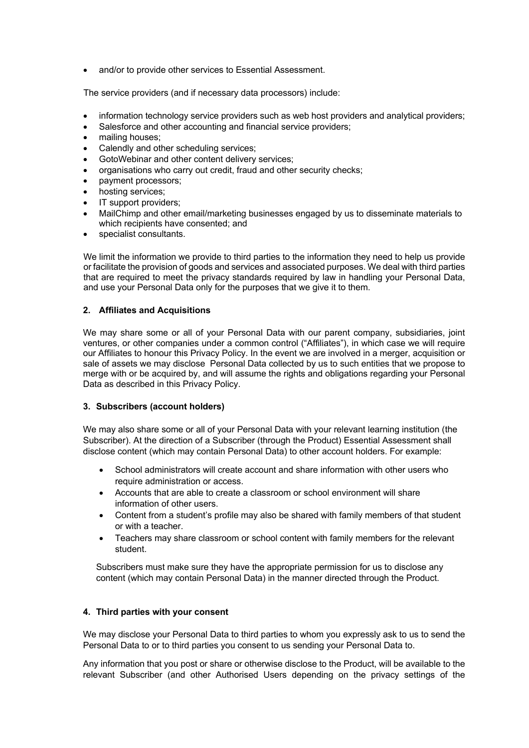• and/or to provide other services to Essential Assessment.

The service providers (and if necessary data processors) include:

- information technology service providers such as web host providers and analytical providers;
- Salesforce and other accounting and financial service providers;
- mailing houses;
- Calendly and other scheduling services;
- GotoWebinar and other content delivery services;
- organisations who carry out credit, fraud and other security checks;
- payment processors;
- hosting services:
- IT support providers;
- MailChimp and other email/marketing businesses engaged by us to disseminate materials to which recipients have consented; and
- specialist consultants.

We limit the information we provide to third parties to the information they need to help us provide or facilitate the provision of goods and services and associated purposes. We deal with third parties that are required to meet the privacy standards required by law in handling your Personal Data, and use your Personal Data only for the purposes that we give it to them.

### **2. Affiliates and Acquisitions**

We may share some or all of your Personal Data with our parent company, subsidiaries, joint ventures, or other companies under a common control ("Affiliates"), in which case we will require our Affiliates to honour this Privacy Policy. In the event we are involved in a merger, acquisition or sale of assets we may disclose Personal Data collected by us to such entities that we propose to merge with or be acquired by, and will assume the rights and obligations regarding your Personal Data as described in this Privacy Policy.

#### **3. Subscribers (account holders)**

We may also share some or all of your Personal Data with your relevant learning institution (the Subscriber). At the direction of a Subscriber (through the Product) Essential Assessment shall disclose content (which may contain Personal Data) to other account holders. For example:

- School administrators will create account and share information with other users who require administration or access.
- Accounts that are able to create a classroom or school environment will share information of other users.
- Content from a student's profile may also be shared with family members of that student or with a teacher.
- Teachers may share classroom or school content with family members for the relevant student.

Subscribers must make sure they have the appropriate permission for us to disclose any content (which may contain Personal Data) in the manner directed through the Product.

#### **4. Third parties with your consent**

We may disclose your Personal Data to third parties to whom you expressly ask to us to send the Personal Data to or to third parties you consent to us sending your Personal Data to.

Any information that you post or share or otherwise disclose to the Product, will be available to the relevant Subscriber (and other Authorised Users depending on the privacy settings of the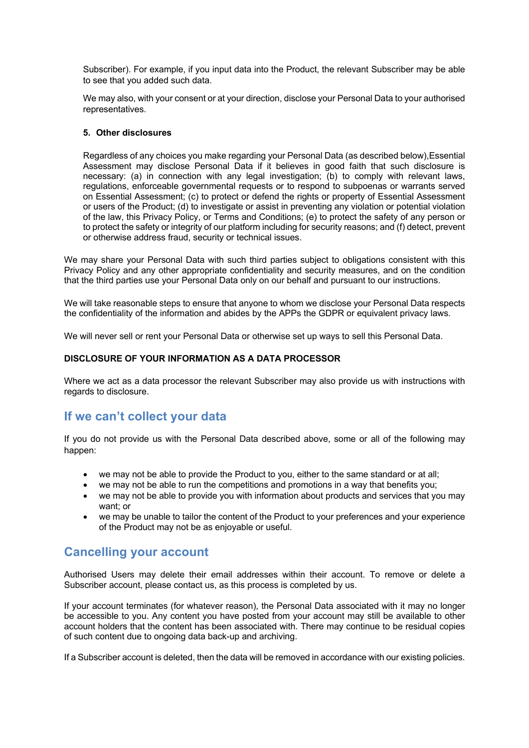Subscriber). For example, if you input data into the Product, the relevant Subscriber may be able to see that you added such data.

We may also, with your consent or at your direction, disclose your Personal Data to your authorised representatives.

### **5. Other disclosures**

Regardless of any choices you make regarding your Personal Data (as described below),Essential Assessment may disclose Personal Data if it believes in good faith that such disclosure is necessary: (a) in connection with any legal investigation; (b) to comply with relevant laws, regulations, enforceable governmental requests or to respond to subpoenas or warrants served on Essential Assessment; (c) to protect or defend the rights or property of Essential Assessment or users of the Product; (d) to investigate or assist in preventing any violation or potential violation of the law, this Privacy Policy, or Terms and Conditions; (e) to protect the safety of any person or to protect the safety or integrity of our platform including for security reasons; and (f) detect, prevent or otherwise address fraud, security or technical issues.

We may share your Personal Data with such third parties subject to obligations consistent with this Privacy Policy and any other appropriate confidentiality and security measures, and on the condition that the third parties use your Personal Data only on our behalf and pursuant to our instructions.

We will take reasonable steps to ensure that anyone to whom we disclose your Personal Data respects the confidentiality of the information and abides by the APPs the GDPR or equivalent privacy laws.

We will never sell or rent your Personal Data or otherwise set up ways to sell this Personal Data.

#### **DISCLOSURE OF YOUR INFORMATION AS A DATA PROCESSOR**

Where we act as a data processor the relevant Subscriber may also provide us with instructions with regards to disclosure.

## **If we can't collect your data**

If you do not provide us with the Personal Data described above, some or all of the following may happen:

- we may not be able to provide the Product to you, either to the same standard or at all;
- we may not be able to run the competitions and promotions in a way that benefits you;
- we may not be able to provide you with information about products and services that you may want; or
- we may be unable to tailor the content of the Product to your preferences and your experience of the Product may not be as enjoyable or useful.

## **Cancelling your account**

Authorised Users may delete their email addresses within their account. To remove or delete a Subscriber account, please contact us, as this process is completed by us.

If your account terminates (for whatever reason), the Personal Data associated with it may no longer be accessible to you. Any content you have posted from your account may still be available to other account holders that the content has been associated with. There may continue to be residual copies of such content due to ongoing data back-up and archiving.

If a Subscriber account is deleted, then the data will be removed in accordance with our existing policies.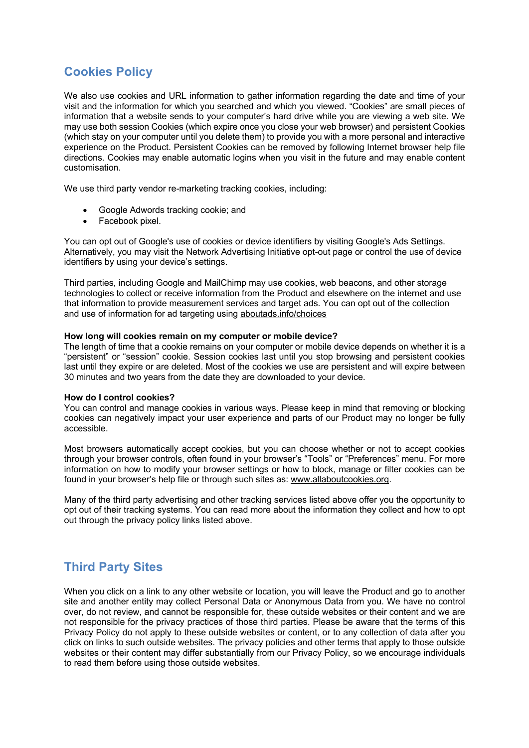# **Cookies Policy**

We also use cookies and URL information to gather information regarding the date and time of your visit and the information for which you searched and which you viewed. "Cookies" are small pieces of information that a website sends to your computer's hard drive while you are viewing a web site. We may use both session Cookies (which expire once you close your web browser) and persistent Cookies (which stay on your computer until you delete them) to provide you with a more personal and interactive experience on the Product. Persistent Cookies can be removed by following Internet browser help file directions. Cookies may enable automatic logins when you visit in the future and may enable content customisation.

We use third party vendor re-marketing tracking cookies, including:

- Google Adwords tracking cookie; and
- Facebook pixel.

You can opt out of Google's use of cookies or device identifiers by visiting Google's Ads Settings. Alternatively, you may visit the Network Advertising Initiative opt-out page or control the use of device identifiers by using your device's settings.

Third parties, including Google and MailChimp may use cookies, web beacons, and other storage technologies to collect or receive information from the Product and elsewhere on the internet and use that information to provide measurement services and target ads. You can opt out of the collection and use of information for ad targeting using aboutads.info/choices

#### **How long will cookies remain on my computer or mobile device?**

The length of time that a cookie remains on your computer or mobile device depends on whether it is a "persistent" or "session" cookie. Session cookies last until you stop browsing and persistent cookies last until they expire or are deleted. Most of the cookies we use are persistent and will expire between 30 minutes and two years from the date they are downloaded to your device.

#### **How do I control cookies?**

You can control and manage cookies in various ways. Please keep in mind that removing or blocking cookies can negatively impact your user experience and parts of our Product may no longer be fully accessible.

Most browsers automatically accept cookies, but you can choose whether or not to accept cookies through your browser controls, often found in your browser's "Tools" or "Preferences" menu. For more information on how to modify your browser settings or how to block, manage or filter cookies can be found in your browser's help file or through such sites as: www.allaboutcookies.org.

Many of the third party advertising and other tracking services listed above offer you the opportunity to opt out of their tracking systems. You can read more about the information they collect and how to opt out through the privacy policy links listed above.

# **Third Party Sites**

When you click on a link to any other website or location, you will leave the Product and go to another site and another entity may collect Personal Data or Anonymous Data from you. We have no control over, do not review, and cannot be responsible for, these outside websites or their content and we are not responsible for the privacy practices of those third parties. Please be aware that the terms of this Privacy Policy do not apply to these outside websites or content, or to any collection of data after you click on links to such outside websites. The privacy policies and other terms that apply to those outside websites or their content may differ substantially from our Privacy Policy, so we encourage individuals to read them before using those outside websites.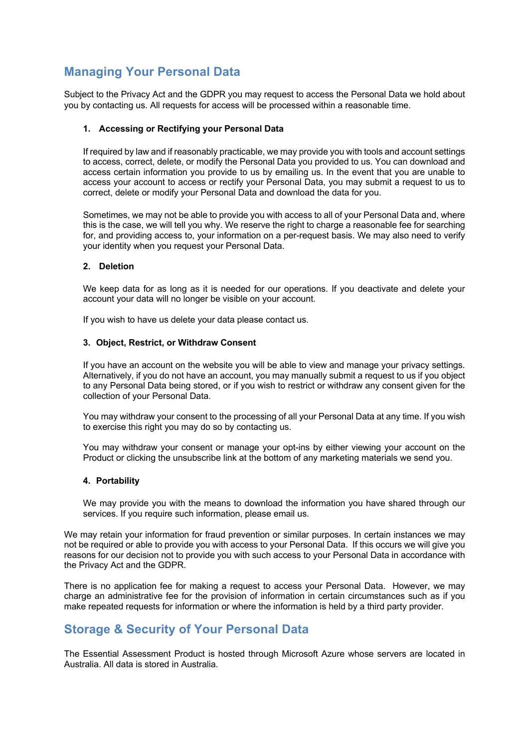# **Managing Your Personal Data**

Subject to the Privacy Act and the GDPR you may request to access the Personal Data we hold about you by contacting us. All requests for access will be processed within a reasonable time.

## **1. Accessing or Rectifying your Personal Data**

If required by law and if reasonably practicable, we may provide you with tools and account settings to access, correct, delete, or modify the Personal Data you provided to us. You can download and access certain information you provide to us by emailing us. In the event that you are unable to access your account to access or rectify your Personal Data, you may submit a request to us to correct, delete or modify your Personal Data and download the data for you.

Sometimes, we may not be able to provide you with access to all of your Personal Data and, where this is the case, we will tell you why. We reserve the right to charge a reasonable fee for searching for, and providing access to, your information on a per-request basis. We may also need to verify your identity when you request your Personal Data.

### **2. Deletion**

We keep data for as long as it is needed for our operations. If you deactivate and delete your account your data will no longer be visible on your account.

If you wish to have us delete your data please contact us.

#### **3. Object, Restrict, or Withdraw Consent**

If you have an account on the website you will be able to view and manage your privacy settings. Alternatively, if you do not have an account, you may manually submit a request to us if you object to any Personal Data being stored, or if you wish to restrict or withdraw any consent given for the collection of your Personal Data.

You may withdraw your consent to the processing of all your Personal Data at any time. If you wish to exercise this right you may do so by contacting us.

You may withdraw your consent or manage your opt-ins by either viewing your account on the Product or clicking the unsubscribe link at the bottom of any marketing materials we send you.

#### **4. Portability**

We may provide you with the means to download the information you have shared through our services. If you require such information, please email us.

We may retain your information for fraud prevention or similar purposes. In certain instances we may not be required or able to provide you with access to your Personal Data. If this occurs we will give you reasons for our decision not to provide you with such access to your Personal Data in accordance with the Privacy Act and the GDPR.

There is no application fee for making a request to access your Personal Data. However, we may charge an administrative fee for the provision of information in certain circumstances such as if you make repeated requests for information or where the information is held by a third party provider.

## **Storage & Security of Your Personal Data**

The Essential Assessment Product is hosted through Microsoft Azure whose servers are located in Australia. All data is stored in Australia.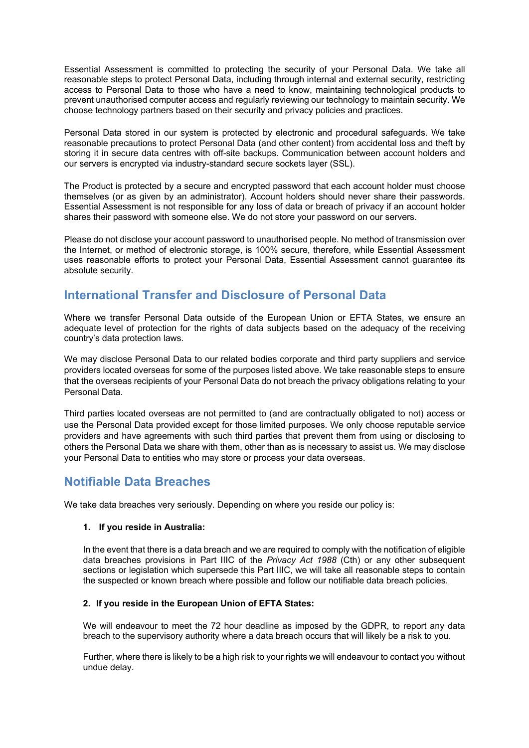Essential Assessment is committed to protecting the security of your Personal Data. We take all reasonable steps to protect Personal Data, including through internal and external security, restricting access to Personal Data to those who have a need to know, maintaining technological products to prevent unauthorised computer access and regularly reviewing our technology to maintain security. We choose technology partners based on their security and privacy policies and practices.

Personal Data stored in our system is protected by electronic and procedural safeguards. We take reasonable precautions to protect Personal Data (and other content) from accidental loss and theft by storing it in secure data centres with off-site backups. Communication between account holders and our servers is encrypted via industry-standard secure sockets layer (SSL).

The Product is protected by a secure and encrypted password that each account holder must choose themselves (or as given by an administrator). Account holders should never share their passwords. Essential Assessment is not responsible for any loss of data or breach of privacy if an account holder shares their password with someone else. We do not store your password on our servers.

Please do not disclose your account password to unauthorised people. No method of transmission over the Internet, or method of electronic storage, is 100% secure, therefore, while Essential Assessment uses reasonable efforts to protect your Personal Data, Essential Assessment cannot guarantee its absolute security.

## **International Transfer and Disclosure of Personal Data**

Where we transfer Personal Data outside of the European Union or EFTA States, we ensure an adequate level of protection for the rights of data subjects based on the adequacy of the receiving country's data protection laws.

We may disclose Personal Data to our related bodies corporate and third party suppliers and service providers located overseas for some of the purposes listed above. We take reasonable steps to ensure that the overseas recipients of your Personal Data do not breach the privacy obligations relating to your Personal Data.

Third parties located overseas are not permitted to (and are contractually obligated to not) access or use the Personal Data provided except for those limited purposes. We only choose reputable service providers and have agreements with such third parties that prevent them from using or disclosing to others the Personal Data we share with them, other than as is necessary to assist us. We may disclose your Personal Data to entities who may store or process your data overseas.

## **Notifiable Data Breaches**

We take data breaches very seriously. Depending on where you reside our policy is:

## **1. If you reside in Australia:**

In the event that there is a data breach and we are required to comply with the notification of eligible data breaches provisions in Part IIIC of the *Privacy Act 1988* (Cth) or any other subsequent sections or legislation which supersede this Part IIIC, we will take all reasonable steps to contain the suspected or known breach where possible and follow our notifiable data breach policies.

## **2. If you reside in the European Union of EFTA States:**

We will endeavour to meet the 72 hour deadline as imposed by the GDPR, to report any data breach to the supervisory authority where a data breach occurs that will likely be a risk to you.

Further, where there is likely to be a high risk to your rights we will endeavour to contact you without undue delay.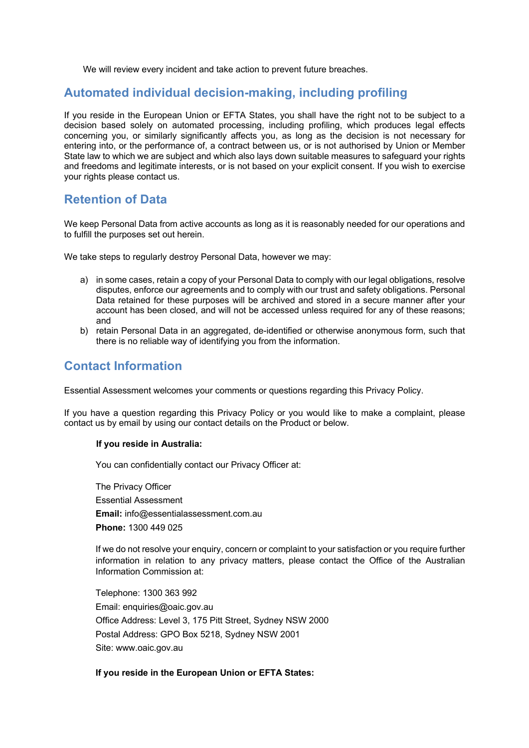We will review every incident and take action to prevent future breaches.

## **Automated individual decision-making, including profiling**

If you reside in the European Union or EFTA States, you shall have the right not to be subject to a decision based solely on automated processing, including profiling, which produces legal effects concerning you, or similarly significantly affects you, as long as the decision is not necessary for entering into, or the performance of, a contract between us, or is not authorised by Union or Member State law to which we are subject and which also lays down suitable measures to safeguard your rights and freedoms and legitimate interests, or is not based on your explicit consent. If you wish to exercise your rights please contact us.

## **Retention of Data**

We keep Personal Data from active accounts as long as it is reasonably needed for our operations and to fulfill the purposes set out herein.

We take steps to regularly destroy Personal Data, however we may:

- a) in some cases, retain a copy of your Personal Data to comply with our legal obligations, resolve disputes, enforce our agreements and to comply with our trust and safety obligations. Personal Data retained for these purposes will be archived and stored in a secure manner after your account has been closed, and will not be accessed unless required for any of these reasons; and
- b) retain Personal Data in an aggregated, de-identified or otherwise anonymous form, such that there is no reliable way of identifying you from the information.

## **Contact Information**

Essential Assessment welcomes your comments or questions regarding this Privacy Policy.

If you have a question regarding this Privacy Policy or you would like to make a complaint, please contact us by email by using our contact details on the Product or below.

#### **If you reside in Australia:**

You can confidentially contact our Privacy Officer at:

The Privacy Officer Essential Assessment **Email:** info@essentialassessment.com.au **Phone:** 1300 449 025

If we do not resolve your enquiry, concern or complaint to your satisfaction or you require further information in relation to any privacy matters, please contact the Office of the Australian Information Commission at:

Telephone: 1300 363 992 Email: enquiries@oaic.gov.au Office Address: Level 3, 175 Pitt Street, Sydney NSW 2000 Postal Address: GPO Box 5218, Sydney NSW 2001 Site: www.oaic.gov.au

#### **If you reside in the European Union or EFTA States:**